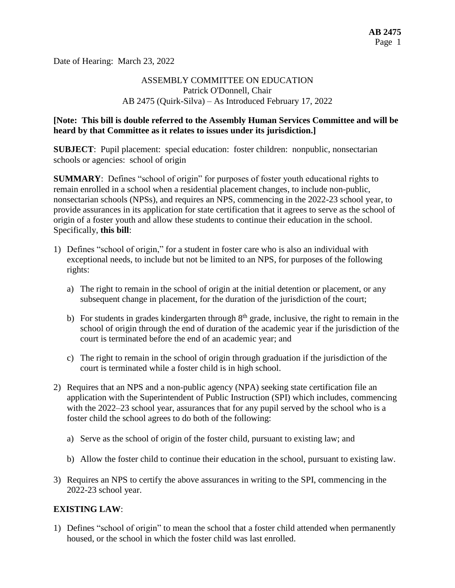Date of Hearing: March 23, 2022

## ASSEMBLY COMMITTEE ON EDUCATION Patrick O'Donnell, Chair AB 2475 (Quirk-Silva) – As Introduced February 17, 2022

### **[Note: This bill is double referred to the Assembly Human Services Committee and will be heard by that Committee as it relates to issues under its jurisdiction.]**

**SUBJECT**: Pupil placement: special education: foster children: nonpublic, nonsectarian schools or agencies: school of origin

**SUMMARY**: Defines "school of origin" for purposes of foster youth educational rights to remain enrolled in a school when a residential placement changes, to include non-public, nonsectarian schools (NPSs), and requires an NPS, commencing in the 2022-23 school year, to provide assurances in its application for state certification that it agrees to serve as the school of origin of a foster youth and allow these students to continue their education in the school. Specifically, **this bill**:

- 1) Defines "school of origin," for a student in foster care who is also an individual with exceptional needs, to include but not be limited to an NPS, for purposes of the following rights:
	- a) The right to remain in the school of origin at the initial detention or placement, or any subsequent change in placement, for the duration of the jurisdiction of the court;
	- b) For students in grades kindergarten through  $8<sup>th</sup>$  grade, inclusive, the right to remain in the school of origin through the end of duration of the academic year if the jurisdiction of the court is terminated before the end of an academic year; and
	- c) The right to remain in the school of origin through graduation if the jurisdiction of the court is terminated while a foster child is in high school.
- 2) Requires that an NPS and a non-public agency (NPA) seeking state certification file an application with the Superintendent of Public Instruction (SPI) which includes, commencing with the 2022–23 school year, assurances that for any pupil served by the school who is a foster child the school agrees to do both of the following:
	- a) Serve as the school of origin of the foster child, pursuant to existing law; and
	- b) Allow the foster child to continue their education in the school, pursuant to existing law.
- 3) Requires an NPS to certify the above assurances in writing to the SPI, commencing in the 2022-23 school year.

## **EXISTING LAW**:

1) Defines "school of origin" to mean the school that a foster child attended when permanently housed, or the school in which the foster child was last enrolled.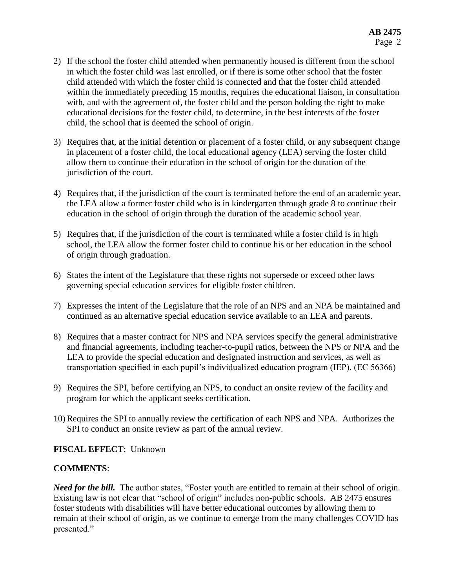- 2) If the school the foster child attended when permanently housed is different from the school in which the foster child was last enrolled, or if there is some other school that the foster child attended with which the foster child is connected and that the foster child attended within the immediately preceding 15 months, requires the educational liaison, in consultation with, and with the agreement of, the foster child and the person holding the right to make educational decisions for the foster child, to determine, in the best interests of the foster child, the school that is deemed the school of origin.
- 3) Requires that, at the initial detention or placement of a foster child, or any subsequent change in placement of a foster child, the local educational agency (LEA) serving the foster child allow them to continue their education in the school of origin for the duration of the jurisdiction of the court.
- 4) Requires that, if the jurisdiction of the court is terminated before the end of an academic year, the LEA allow a former foster child who is in kindergarten through grade 8 to continue their education in the school of origin through the duration of the academic school year.
- 5) Requires that, if the jurisdiction of the court is terminated while a foster child is in high school, the LEA allow the former foster child to continue his or her education in the school of origin through graduation.
- 6) States the intent of the Legislature that these rights not supersede or exceed other laws governing special education services for eligible foster children.
- 7) Expresses the intent of the Legislature that the role of an NPS and an NPA be maintained and continued as an alternative special education service available to an LEA and parents.
- 8) Requires that a master contract for NPS and NPA services specify the general administrative and financial agreements, including teacher-to-pupil ratios, between the NPS or NPA and the LEA to provide the special education and designated instruction and services, as well as transportation specified in each pupil's individualized education program (IEP). (EC 56366)
- 9) Requires the SPI, before certifying an NPS, to conduct an onsite review of the facility and program for which the applicant seeks certification.
- 10) Requires the SPI to annually review the certification of each NPS and NPA. Authorizes the SPI to conduct an onsite review as part of the annual review.

## **FISCAL EFFECT**: Unknown

## **COMMENTS**:

*Need for the bill.* The author states, "Foster youth are entitled to remain at their school of origin. Existing law is not clear that "school of origin" includes non-public schools. AB 2475 ensures foster students with disabilities will have better educational outcomes by allowing them to remain at their school of origin, as we continue to emerge from the many challenges COVID has presented."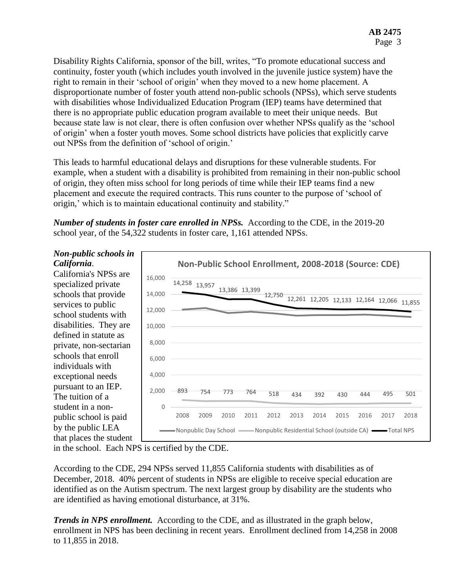Disability Rights California, sponsor of the bill, writes, "To promote educational success and continuity, foster youth (which includes youth involved in the juvenile justice system) have the right to remain in their 'school of origin' when they moved to a new home placement. A disproportionate number of foster youth attend non-public schools (NPSs), which serve students with disabilities whose Individualized Education Program (IEP) teams have determined that there is no appropriate public education program available to meet their unique needs. But because state law is not clear, there is often confusion over whether NPSs qualify as the 'school of origin' when a foster youth moves. Some school districts have policies that explicitly carve out NPSs from the definition of 'school of origin.'

This leads to harmful educational delays and disruptions for these vulnerable students. For example, when a student with a disability is prohibited from remaining in their non-public school of origin, they often miss school for long periods of time while their IEP teams find a new placement and execute the required contracts. This runs counter to the purpose of 'school of origin,' which is to maintain educational continuity and stability."

*Number of students in foster care enrolled in NPSs.* According to the CDE, in the 2019-20 school year, of the 54,322 students in foster care, 1,161 attended NPSs.

### *Non-public schools in California*.

California's NPSs are specialized private schools that provide services to public school students with disabilities. They are defined in statute as private, non-sectarian schools that enroll individuals with exceptional needs pursuant to an IEP. The tuition of a student in a nonpublic school is paid by the public LEA that places the student



in the school. Each NPS is certified by the CDE.

According to the CDE, 294 NPSs served 11,855 California students with disabilities as of December, 2018. 40% percent of students in NPSs are eligible to receive special education are identified as on the Autism spectrum. The next largest group by disability are the students who are identified as having emotional disturbance, at 31%.

*Trends in NPS enrollment.* According to the CDE, and as illustrated in the graph below, enrollment in NPS has been declining in recent years. Enrollment declined from 14,258 in 2008 to 11,855 in 2018.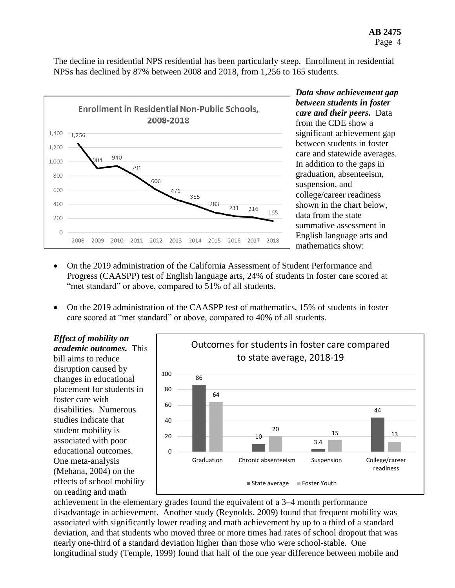The decline in residential NPS residential has been particularly steep. Enrollment in residential NPSs has declined by 87% between 2008 and 2018, from 1,256 to 165 students.



*Data show achievement gap between students in foster care and their peers.* Data from the CDE show a significant achievement gap between students in foster care and statewide averages. In addition to the gaps in graduation, absenteeism, suspension, and college/career readiness shown in the chart below, data from the state summative assessment in English language arts and mathematics show:

- On the 2019 administration of the California Assessment of Student Performance and Progress (CAASPP) test of English language arts, 24% of students in foster care scored at "met standard" or above, compared to 51% of all students.
- On the 2019 administration of the CAASPP test of mathematics, 15% of students in foster care scored at "met standard" or above, compared to 40% of all students.

*Effect of mobility on academic outcomes.* This bill aims to reduce disruption caused by changes in educational placement for students in foster care with disabilities. Numerous studies indicate that student mobility is associated with poor educational outcomes. One meta-analysis (Mehana, 2004) on the effects of school mobility on reading and math



achievement in the elementary grades found the equivalent of a 3–4 month performance disadvantage in achievement. Another study (Reynolds, 2009) found that frequent mobility was associated with significantly lower reading and math achievement by up to a third of a standard deviation, and that students who moved three or more times had rates of school dropout that was nearly one-third of a standard deviation higher than those who were school-stable. One longitudinal study (Temple, 1999) found that half of the one year difference between mobile and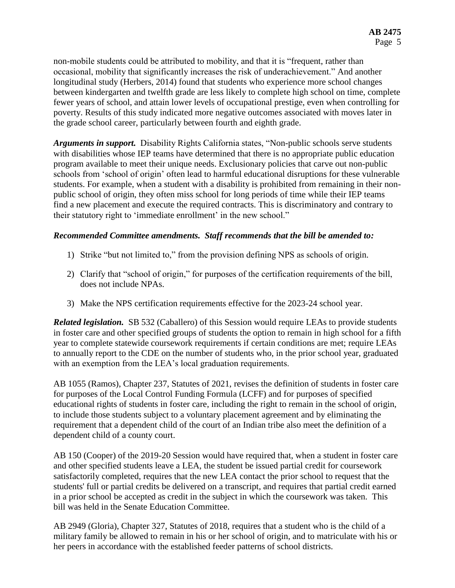non-mobile students could be attributed to mobility, and that it is "frequent, rather than occasional, mobility that significantly increases the risk of underachievement." And another longitudinal study (Herbers, 2014) found that students who experience more school changes between kindergarten and twelfth grade are less likely to complete high school on time, complete fewer years of school, and attain lower levels of occupational prestige, even when controlling for poverty. Results of this study indicated more negative outcomes associated with moves later in the grade school career, particularly between fourth and eighth grade.

*Arguments in support.* Disability Rights California states, "Non-public schools serve students with disabilities whose IEP teams have determined that there is no appropriate public education program available to meet their unique needs. Exclusionary policies that carve out non-public schools from 'school of origin' often lead to harmful educational disruptions for these vulnerable students. For example, when a student with a disability is prohibited from remaining in their nonpublic school of origin, they often miss school for long periods of time while their IEP teams find a new placement and execute the required contracts. This is discriminatory and contrary to their statutory right to 'immediate enrollment' in the new school."

### *Recommended Committee amendments. Staff recommends that the bill be amended to:*

- 1) Strike "but not limited to," from the provision defining NPS as schools of origin.
- 2) Clarify that "school of origin," for purposes of the certification requirements of the bill, does not include NPAs.
- 3) Make the NPS certification requirements effective for the 2023-24 school year.

*Related legislation.* SB 532 (Caballero) of this Session would require LEAs to provide students in foster care and other specified groups of students the option to remain in high school for a fifth year to complete statewide coursework requirements if certain conditions are met; require LEAs to annually report to the CDE on the number of students who, in the prior school year, graduated with an exemption from the LEA's local graduation requirements.

AB 1055 (Ramos), Chapter 237, Statutes of 2021, revises the definition of students in foster care for purposes of the Local Control Funding Formula (LCFF) and for purposes of specified educational rights of students in foster care, including the right to remain in the school of origin, to include those students subject to a voluntary placement agreement and by eliminating the requirement that a dependent child of the court of an Indian tribe also meet the definition of a dependent child of a county court.

AB 150 (Cooper) of the 2019-20 Session would have required that, when a student in foster care and other specified students leave a LEA, the student be issued partial credit for coursework satisfactorily completed, requires that the new LEA contact the prior school to request that the students' full or partial credits be delivered on a transcript, and requires that partial credit earned in a prior school be accepted as credit in the subject in which the coursework was taken. This bill was held in the Senate Education Committee.

AB 2949 (Gloria), Chapter 327, Statutes of 2018, requires that a student who is the child of a military family be allowed to remain in his or her school of origin, and to matriculate with his or her peers in accordance with the established feeder patterns of school districts.